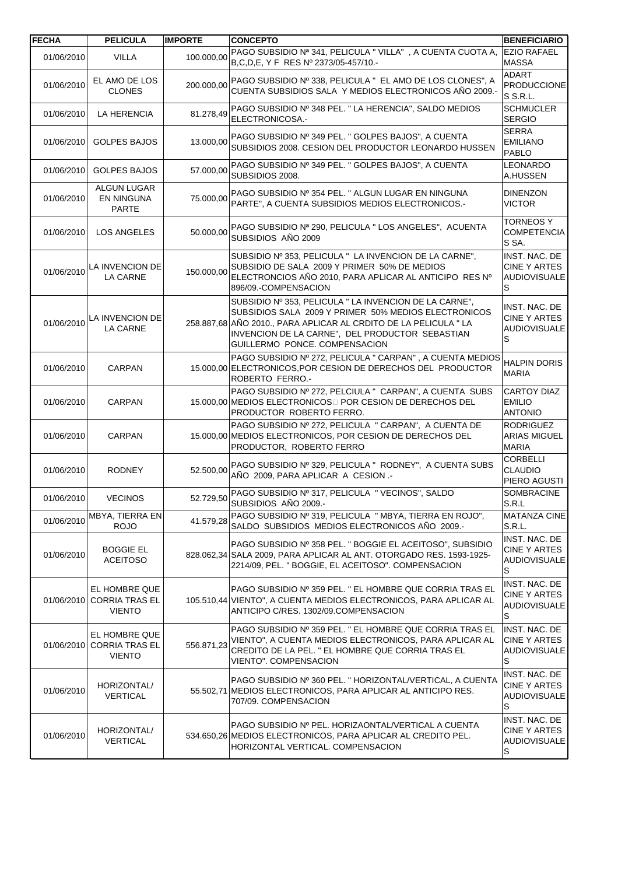| <b>FECHA</b> | <b>PELICULA</b>                                         | <b>IMPORTE</b> | <b>CONCEPTO</b>                                                                                                                                                                                                                                                        | <b>BENEFICIARIO</b>                                       |
|--------------|---------------------------------------------------------|----------------|------------------------------------------------------------------------------------------------------------------------------------------------------------------------------------------------------------------------------------------------------------------------|-----------------------------------------------------------|
| 01/06/2010   | <b>VILLA</b>                                            | 100.000,00     | PAGO SUBSIDIO Nª 341, PELICULA " VILLA", A CUENTA CUOTA A,<br>B,C,D,E, Y F RES Nº 2373/05-457/10.-                                                                                                                                                                     | <b>EZIO RAFAEL</b><br><b>MASSA</b>                        |
| 01/06/2010   | EL AMO DE LOS<br><b>CLONES</b>                          | 200.000,00     | PAGO SUBSIDIO Nº 338, PELICULA " EL AMO DE LOS CLONES", A<br>CUENTA SUBSIDIOS SALA Y MEDIOS ELECTRONICOS AÑO 2009.-                                                                                                                                                    | <b>ADART</b><br><b>PRODUCCIONE</b><br>S S.R.L.            |
| 01/06/2010   | LA HERENCIA                                             | 81.278,49      | PAGO SUBSIDIO Nº 348 PEL. " LA HERENCIA", SALDO MEDIOS<br>ELECTRONICOSA.-                                                                                                                                                                                              | <b>SCHMUCLER</b><br><b>SERGIO</b>                         |
| 01/06/2010   | <b>GOLPES BAJOS</b>                                     | 13.000,00      | PAGO SUBSIDIO Nº 349 PEL. " GOLPES BAJOS", A CUENTA<br>SUBSIDIOS 2008. CESION DEL PRODUCTOR LEONARDO HUSSEN                                                                                                                                                            | <b>SERRA</b><br><b>EMILIANO</b><br><b>PABLO</b>           |
| 01/06/2010   | <b>GOLPES BAJOS</b>                                     | 57.000,00      | PAGO SUBSIDIO Nº 349 PEL. " GOLPES BAJOS", A CUENTA<br>SUBSIDIOS 2008.                                                                                                                                                                                                 | <b>LEONARDO</b><br>A.HUSSEN                               |
| 01/06/2010   | <b>ALGUN LUGAR</b><br><b>EN NINGUNA</b><br>PARTE        | 75.000,00      | PAGO SUBSIDIO Nº 354 PEL. " ALGUN LUGAR EN NINGUNA<br>PARTE", A CUENTA SUBSIDIOS MEDIOS ELECTRONICOS.-                                                                                                                                                                 | <b>DINENZON</b><br><b>VICTOR</b>                          |
| 01/06/2010   | LOS ANGELES                                             | 50.000,00      | PAGO SUBSIDIO Nª 290, PELICULA " LOS ANGELES", ACUENTA<br>SUBSIDIOS AÑO 2009                                                                                                                                                                                           | <b>TORNEOS Y</b><br><b>COMPETENCIA</b><br>S SA.           |
| 01/06/2010   | LA INVENCION DE<br><b>LA CARNE</b>                      | 150.000.00     | SUBSIDIO Nº 353, PELICULA " LA INVENCION DE LA CARNE",<br>SUBSIDIO DE SALA 2009 Y PRIMER 50% DE MEDIOS<br>ELECTRONCIOS AÑO 2010, PARA APLICAR AL ANTICIPO RES Nº<br>896/09.-COMPENSACION                                                                               | INST. NAC. DE<br>CINE Y ARTES<br><b>AUDIOVISUALE</b><br>S |
| 01/06/2010   | LA INVENCION DE<br>LA CARNE                             |                | SUBSIDIO Nº 353, PELICULA " LA INVENCION DE LA CARNE",<br>SUBSIDIOS SALA 2009 Y PRIMER 50% MEDIOS ELECTRONICOS<br>258.887,68 AÑO 2010., PARA APLICAR AL CRDITO DE LA PELICULA " LA<br>INVENCION DE LA CARNE", DEL PRODUCTOR SEBASTIAN<br>GUILLERMO PONCE. COMPENSACION | INST. NAC. DE<br>CINE Y ARTES<br><b>AUDIOVISUALE</b><br>S |
| 01/06/2010   | CARPAN                                                  |                | PAGO SUBSIDIO Nº 272, PELICULA " CARPAN", A CUENTA MEDIOS<br>15.000,00 ELECTRONICOS, POR CESION DE DERECHOS DEL PRODUCTOR<br>ROBERTO FERRO.-                                                                                                                           | <b>HALPIN DORIS</b><br><b>MARIA</b>                       |
| 01/06/2010   | CARPAN                                                  |                | PAGO SUBSIDIO Nº 272, PELCIULA " CARPAN", A CUENTA SUBS<br>15.000,00 MEDIOS ELECTRONICOS POR CESION DE DERECHOS DEL<br>PRODUCTOR ROBERTO FERRO.                                                                                                                        | <b>CARTOY DIAZ</b><br><b>EMILIO</b><br><b>ANTONIO</b>     |
| 01/06/2010   | CARPAN                                                  |                | PAGO SUBSIDIO Nº 272, PELICULA " CARPAN", A CUENTA DE<br>15.000,00 MEDIOS ELECTRONICOS, POR CESION DE DERECHOS DEL<br>PRODUCTOR, ROBERTO FERRO                                                                                                                         | <b>RODRIGUEZ</b><br><b>ARIAS MIGUEL</b><br><b>MARIA</b>   |
| 01/06/2010   | <b>RODNEY</b>                                           | 52.500,00      | PAGO SUBSIDIO Nº 329, PELICULA " RODNEY", A CUENTA SUBS<br>AÑO 2009, PARA APLICAR A CESION .-                                                                                                                                                                          | <b>CORBELLI</b><br><b>CLAUDIO</b><br>PIERO AGUSTI         |
| 01/06/2010   | <b>VECINOS</b>                                          |                | 52.729,50 PAGO SUBSIDIO Nº 317, PELICULA " VECINOS", SALDO<br>SUBSIDIOS AÑO 2009.-                                                                                                                                                                                     | SOMBRACINE<br>S.R.L                                       |
| 01/06/2010   | MBYA, TIERRA EN<br><b>ROJO</b>                          | 41.579,28      | PAGO SUBSIDIO Nº 319, PELICULA " MBYA, TIERRA EN ROJO",<br>SALDO SUBSIDIOS MEDIOS ELECTRONICOS AÑO 2009.-                                                                                                                                                              | <b>MATANZA CINE</b><br>S.R.L.                             |
| 01/06/2010   | <b>BOGGIE EL</b><br><b>ACEITOSO</b>                     |                | PAGO SUBSIDIO Nº 358 PEL. " BOGGIE EL ACEITOSO", SUBSIDIO<br>828.062.34 SALA 2009, PARA APLICAR AL ANT. OTORGADO RES. 1593-1925-<br>2214/09, PEL. " BOGGIE, EL ACEITOSO". COMPENSACION                                                                                 | INST. NAC. DE<br>CINE Y ARTES<br><b>AUDIOVISUALE</b><br>S |
| 01/06/2010   | EL HOMBRE QUE<br><b>CORRIA TRAS EL</b><br><b>VIENTO</b> |                | PAGO SUBSIDIO Nº 359 PEL. " EL HOMBRE QUE CORRIA TRAS EL<br>105.510,44 VIENTO", A CUENTA MEDIOS ELECTRONICOS, PARA APLICAR AL<br>ANTICIPO C/RES. 1302/09.COMPENSACION                                                                                                  | INST. NAC. DE<br>CINE Y ARTES<br><b>AUDIOVISUALE</b><br>S |
| 01/06/2010   | EL HOMBRE QUE<br><b>CORRIA TRAS EL</b><br><b>VIENTO</b> | 556.871,23     | PAGO SUBSIDIO Nº 359 PEL. " EL HOMBRE QUE CORRIA TRAS EL<br>VIENTO", A CUENTA MEDIOS ELECTRONICOS, PARA APLICAR AL<br>CREDITO DE LA PEL. " EL HOMBRE QUE CORRIA TRAS EL<br>VIENTO". COMPENSACION                                                                       | INST. NAC. DE<br>CINE Y ARTES<br><b>AUDIOVISUALE</b><br>S |
| 01/06/2010   | HORIZONTAL/<br><b>VERTICAL</b>                          |                | PAGO SUBSIDIO Nº 360 PEL. "HORIZONTAL/VERTICAL, A CUENTA<br>55.502,71 MEDIOS ELECTRONICOS, PARA APLICAR AL ANTICIPO RES.<br>707/09. COMPENSACION                                                                                                                       | INST. NAC. DE<br>CINE Y ARTES<br><b>AUDIOVISUALE</b><br>S |
| 01/06/2010   | HORIZONTAL/<br><b>VERTICAL</b>                          |                | PAGO SUBSIDIO Nº PEL. HORIZAONTAL/VERTICAL A CUENTA<br>534.650,26 MEDIOS ELECTRONICOS, PARA APLICAR AL CREDITO PEL.<br>HORIZONTAL VERTICAL. COMPENSACION                                                                                                               | INST. NAC. DE<br>CINE Y ARTES<br><b>AUDIOVISUALE</b><br>S |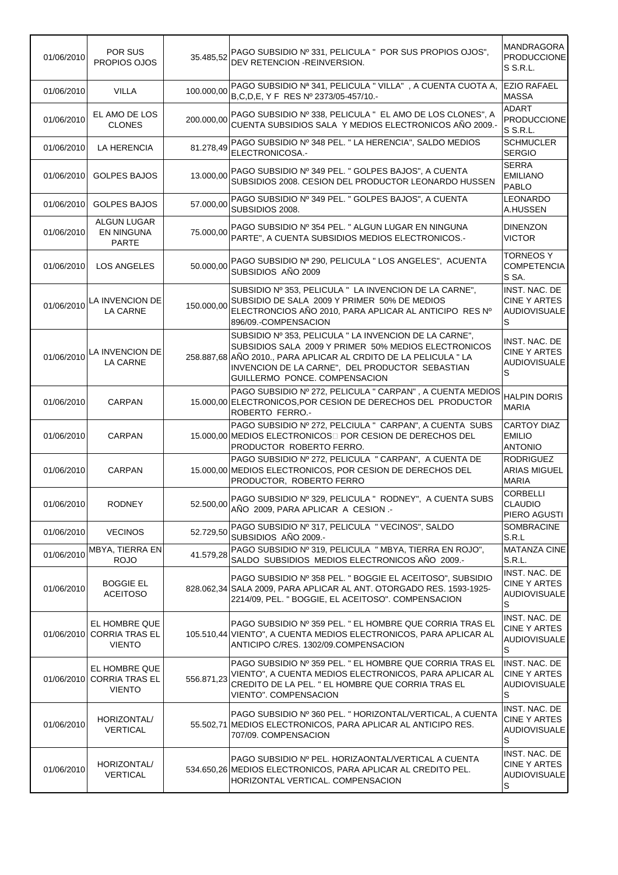| 01/06/2010 | POR SUS<br>PROPIOS OJOS                                 | 35.485,52  | PAGO SUBSIDIO Nº 331, PELICULA " POR SUS PROPIOS OJOS",<br>DEV RETENCION - REINVERSION.                                                                                                                                                                               | <b>MANDRAGORA</b><br><b>PRODUCCIONE</b><br>S S.R.L.                        |
|------------|---------------------------------------------------------|------------|-----------------------------------------------------------------------------------------------------------------------------------------------------------------------------------------------------------------------------------------------------------------------|----------------------------------------------------------------------------|
| 01/06/2010 | <b>VILLA</b>                                            | 100.000,00 | PAGO SUBSIDIO Nº 341, PELICULA "VILLA", A CUENTA CUOTA A,<br>B, C, D, E, Y F RES Nº 2373/05-457/10.-                                                                                                                                                                  | <b>EZIO RAFAEL</b><br><b>MASSA</b>                                         |
| 01/06/2010 | EL AMO DE LOS<br><b>CLONES</b>                          | 200.000,00 | PAGO SUBSIDIO Nº 338, PELICULA " EL AMO DE LOS CLONES", A<br>CUENTA SUBSIDIOS SALA Y MEDIOS ELECTRONICOS AÑO 2009.-                                                                                                                                                   | <b>ADART</b><br><b>PRODUCCIONE</b><br>S S.R.L.                             |
| 01/06/2010 | <b>LA HERENCIA</b>                                      | 81.278,49  | PAGO SUBSIDIO Nº 348 PEL. " LA HERENCIA", SALDO MEDIOS<br>ELECTRONICOSA.-                                                                                                                                                                                             | <b>SCHMUCLER</b><br><b>SERGIO</b>                                          |
| 01/06/2010 | <b>GOLPES BAJOS</b>                                     | 13.000,00  | PAGO SUBSIDIO Nº 349 PEL. " GOLPES BAJOS", A CUENTA<br>SUBSIDIOS 2008. CESION DEL PRODUCTOR LEONARDO HUSSEN                                                                                                                                                           | <b>SERRA</b><br><b>EMILIANO</b><br>PABLO                                   |
| 01/06/2010 | <b>GOLPES BAJOS</b>                                     | 57.000,00  | PAGO SUBSIDIO Nº 349 PEL. " GOLPES BAJOS", A CUENTA<br>SUBSIDIOS 2008.                                                                                                                                                                                                | LEONARDO<br>A.HUSSEN                                                       |
| 01/06/2010 | ALGUN LUGAR<br>EN NINGUNA<br><b>PARTE</b>               | 75.000,00  | PAGO SUBSIDIO Nº 354 PEL. " ALGUN LUGAR EN NINGUNA<br>PARTE", A CUENTA SUBSIDIOS MEDIOS ELECTRONICOS.-                                                                                                                                                                | <b>DINENZON</b><br><b>VICTOR</b>                                           |
| 01/06/2010 | LOS ANGELES                                             | 50.000,00  | PAGO SUBSIDIO Nª 290, PELICULA " LOS ANGELES", ACUENTA<br>SUBSIDIOS AÑO 2009                                                                                                                                                                                          | TORNEOS Y<br><b>COMPETENCIA</b><br>S SA.                                   |
| 01/06/2010 | <b>LA INVENCION DE</b><br>LA CARNE                      | 150.000,00 | SUBSIDIO Nº 353, PELICULA " LA INVENCION DE LA CARNE",<br>SUBSIDIO DE SALA 2009 Y PRIMER 50% DE MEDIOS<br>ELECTRONCIOS AÑO 2010, PARA APLICAR AL ANTICIPO RES Nº<br>896/09.-COMPENSACION                                                                              | INST. NAC. DE<br><b>CINE Y ARTES</b><br>AUDIOVISUALE<br>S                  |
| 01/06/2010 | LA INVENCION DE<br><b>LA CARNE</b>                      |            | SUBSIDIO Nº 353, PELICULA " LA INVENCION DE LA CARNE",<br>SUBSIDIOS SALA 2009 Y PRIMER 50% MEDIOS ELECTRONICOS<br>258.887,68 AÑO 2010., PARA APLICAR AL CRDITO DE LA PELICULA "LA<br>INVENCION DE LA CARNE", DEL PRODUCTOR SEBASTIAN<br>GUILLERMO PONCE. COMPENSACION | INST. NAC. DE<br>CINE Y ARTES<br><b>AUDIOVISUALE</b><br>S                  |
| 01/06/2010 | CARPAN                                                  |            | PAGO SUBSIDIO Nº 272, PELICULA " CARPAN", A CUENTA MEDIOS<br>15.000,00 ELECTRONICOS, POR CESION DE DERECHOS DEL PRODUCTOR<br>ROBERTO FERRO.-                                                                                                                          | HALPIN DORIS<br><b>MARIA</b>                                               |
| 01/06/2010 | CARPAN                                                  |            | PAGO SUBSIDIO Nº 272, PELCIULA " CARPAN", A CUENTA SUBS<br>15.000,00 MEDIOS ELECTRONICOS POR CESION DE DERECHOS DEL<br>PRODUCTOR ROBERTO FERRO.                                                                                                                       | <b>CARTOY DIAZ</b><br><b>EMILIO</b><br><b>ANTONIO</b>                      |
| 01/06/2010 | CARPAN                                                  |            | PAGO SUBSIDIO Nº 272, PELICULA " CARPAN", A CUENTA DE<br>15.000,00 MEDIOS ELECTRONICOS, POR CESION DE DERECHOS DEL<br>PRODUCTOR, ROBERTO FERRO                                                                                                                        | <b>RODRIGUEZ</b><br><b>ARIAS MIGUEL</b><br><b>MARIA</b>                    |
| 01/06/2010 | <b>RODNEY</b>                                           |            | PAGO SUBSIDIO Nº 329, PELICULA " RODNEY", A CUENTA SUBS<br>52.500,00 AÑO 2009, PARA APLICAR A CESION .-                                                                                                                                                               | <b>CORBELLI</b><br><b>CLAUDIO</b><br>PIERO AGUSTI                          |
| 01/06/2010 | <b>VECINOS</b>                                          | 52.729,50  | PAGO SUBSIDIO Nº 317, PELICULA " VECINOS", SALDO<br>SUBSIDIOS AÑO 2009.-                                                                                                                                                                                              | <b>SOMBRACINE</b><br>S.R.L                                                 |
| 01/06/2010 | MBYA, TIERRA EN<br><b>ROJO</b>                          | 41.579,28  | PAGO SUBSIDIO Nº 319, PELICULA " MBYA, TIERRA EN ROJO",<br>SALDO SUBSIDIOS MEDIOS ELECTRONICOS AÑO 2009.-                                                                                                                                                             | MATANZA CINE<br>S.R.L.                                                     |
| 01/06/2010 | <b>BOGGIE EL</b><br><b>ACEITOSO</b>                     |            | PAGO SUBSIDIO Nº 358 PEL. " BOGGIE EL ACEITOSO", SUBSIDIO<br>828.062,34 SALA 2009, PARA APLICAR AL ANT. OTORGADO RES. 1593-1925-<br>2214/09, PEL. " BOGGIE, EL ACEITOSO". COMPENSACION                                                                                | INST. NAC. DE<br><b>CINE Y ARTES</b><br><b>AUDIOVISUALE</b><br>$\mathbb S$ |
| 01/06/2010 | EL HOMBRE QUE<br><b>CORRIA TRAS EL</b><br><b>VIENTO</b> |            | PAGO SUBSIDIO Nº 359 PEL. " EL HOMBRE QUE CORRIA TRAS EL<br>105.510,44 VIENTO", A CUENTA MEDIOS ELECTRONICOS, PARA APLICAR AL<br>ANTICIPO C/RES. 1302/09.COMPENSACION                                                                                                 | INST. NAC. DE<br><b>CINE Y ARTES</b><br>AUDIOVISUALE<br>S                  |
| 01/06/2010 | EL HOMBRE QUE<br><b>CORRIA TRAS EL</b><br><b>VIENTO</b> | 556.871,23 | PAGO SUBSIDIO Nº 359 PEL. " EL HOMBRE QUE CORRIA TRAS EL<br>VIENTO", A CUENTA MEDIOS ELECTRONICOS, PARA APLICAR AL<br>CREDITO DE LA PEL. " EL HOMBRE QUE CORRIA TRAS EL<br>VIENTO". COMPENSACION                                                                      | INST. NAC. DE<br>CINE Y ARTES<br>AUDIOVISUALE<br>S                         |
| 01/06/2010 | HORIZONTAL/<br><b>VERTICAL</b>                          |            | PAGO SUBSIDIO Nº 360 PEL. "HORIZONTAL/VERTICAL, A CUENTA<br>55.502,71 MEDIOS ELECTRONICOS, PARA APLICAR AL ANTICIPO RES.<br>707/09. COMPENSACION                                                                                                                      | INST. NAC. DE<br><b>CINE Y ARTES</b><br>AUDIOVISUALE<br>S                  |
| 01/06/2010 | HORIZONTAL/<br><b>VERTICAL</b>                          |            | PAGO SUBSIDIO Nº PEL. HORIZAONTAL/VERTICAL A CUENTA<br>534.650,26 MEDIOS ELECTRONICOS, PARA APLICAR AL CREDITO PEL.<br>HORIZONTAL VERTICAL. COMPENSACION                                                                                                              | INST. NAC. DE<br>CINE Y ARTES<br>AUDIOVISUALE<br>S                         |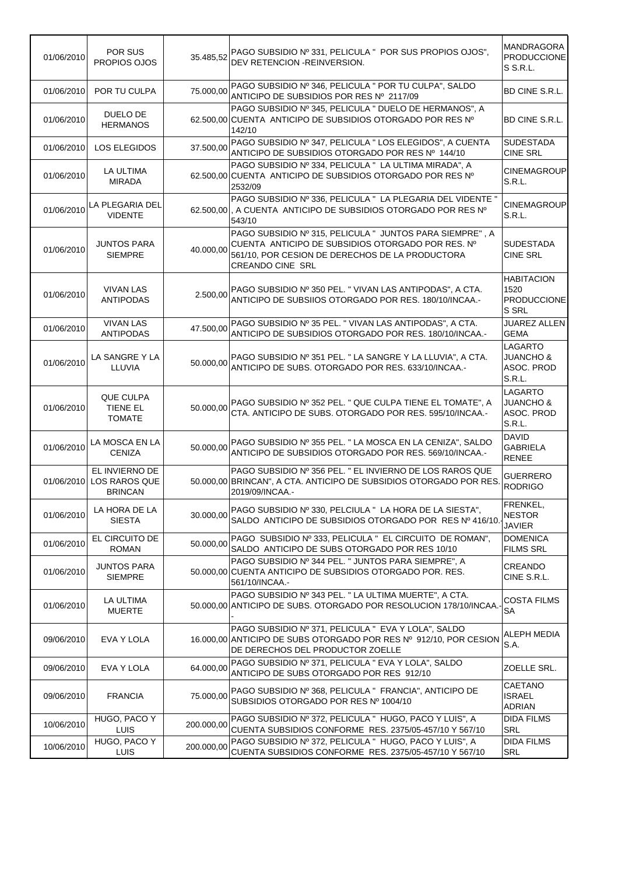| 01/06/2010 | POR SUS<br>PROPIOS OJOS                           |            | 35.485,52 PAGO SUBSIDIO Nº 331, PELICULA " POR SUS PROPIOS OJOS",<br>DEV RETENCION - REINVERSION.                                                                                           | <b>MANDRAGORA</b><br><b>PRODUCCIONE</b><br>S S.R.L.            |
|------------|---------------------------------------------------|------------|---------------------------------------------------------------------------------------------------------------------------------------------------------------------------------------------|----------------------------------------------------------------|
| 01/06/2010 | POR TU CULPA                                      |            | 75.000,00 PAGO SUBSIDIO Nº 346, PELICULA " POR TU CULPA", SALDO<br>ANTICIPO DE SUBSIDIOS POR RES Nº 2117/09                                                                                 | BD CINE S.R.L.                                                 |
| 01/06/2010 | DUELO DE<br><b>HERMANOS</b>                       |            | PAGO SUBSIDIO Nº 345, PELICULA " DUELO DE HERMANOS", A<br>62.500,00 CUENTA ANTICIPO DE SUBSIDIOS OTORGADO POR RES Nº<br>142/10                                                              | BD CINE S.R.L.                                                 |
| 01/06/2010 | <b>LOS ELEGIDOS</b>                               | 37.500,00  | PAGO SUBSIDIO Nº 347, PELICULA " LOS ELEGIDOS", A CUENTA<br>ANTICIPO DE SUBSIDIOS OTORGADO POR RES Nº 144/10                                                                                | <b>SUDESTADA</b><br><b>CINE SRL</b>                            |
| 01/06/2010 | LA ULTIMA<br><b>MIRADA</b>                        |            | PAGO SUBSIDIO Nº 334, PELICULA " LA ULTIMA MIRADA", A<br>62.500,00 CUENTA ANTICIPO DE SUBSIDIOS OTORGADO POR RES Nº<br>2532/09                                                              | <b>CINEMAGROUP</b><br>S.R.L.                                   |
| 01/06/2010 | LA PLEGARIA DEL<br><b>VIDENTE</b>                 |            | PAGO SUBSIDIO Nº 336, PELICULA " LA PLEGARIA DEL VIDENTE "<br>62.500,00, A CUENTA ANTICIPO DE SUBSIDIOS OTORGADO POR RES Nº<br>543/10                                                       | <b>CINEMAGROUP</b><br>S.R.L.                                   |
| 01/06/2010 | <b>JUNTOS PARA</b><br><b>SIEMPRE</b>              | 40.000.00  | PAGO SUBSIDIO Nº 315, PELICULA " JUNTOS PARA SIEMPRE", A<br>CUENTA ANTICIPO DE SUBSIDIOS OTORGADO POR RES. Nº<br>561/10, POR CESION DE DERECHOS DE LA PRODUCTORA<br><b>CREANDO CINE SRL</b> | <b>SUDESTADA</b><br><b>CINE SRL</b>                            |
| 01/06/2010 | <b>VIVAN LAS</b><br><b>ANTIPODAS</b>              | 2.500,00   | PAGO SUBSIDIO Nº 350 PEL. "VIVAN LAS ANTIPODAS", A CTA.<br>ANTICIPO DE SUBSIIOS OTORGADO POR RES. 180/10/INCAA.-                                                                            | <b>HABITACION</b><br>1520<br><b>PRODUCCIONE</b><br>S SRL       |
| 01/06/2010 | <b>VIVAN LAS</b><br><b>ANTIPODAS</b>              | 47.500,00  | PAGO SUBSIDIO Nº 35 PEL. " VIVAN LAS ANTIPODAS", A CTA.<br>ANTICIPO DE SUBSIDIOS OTORGADO POR RES. 180/10/INCAA.-                                                                           | <b>JUAREZ ALLEN</b><br><b>GEMA</b>                             |
| 01/06/2010 | LA SANGRE Y LA<br>LLUVIA                          | 50.000,00  | PAGO SUBSIDIO Nº 351 PEL. " LA SANGRE Y LA LLUVIA", A CTA.<br>ANTICIPO DE SUBS. OTORGADO POR RES. 633/10/INCAA.-                                                                            | <b>LAGARTO</b><br><b>JUANCHO &amp;</b><br>ASOC. PROD<br>S.R.L. |
| 01/06/2010 | QUE CULPA<br>TIENE EL<br><b>TOMATE</b>            | 50.000,00  | PAGO SUBSIDIO Nº 352 PEL. " QUE CULPA TIENE EL TOMATE", A<br>CTA. ANTICIPO DE SUBS. OTORGADO POR RES. 595/10/INCAA.-                                                                        | <b>LAGARTO</b><br>JUANCHO &<br>ASOC. PROD<br><b>S.R.L.</b>     |
| 01/06/2010 | LA MOSCA EN LA<br><b>CENIZA</b>                   | 50.000,00  | PAGO SUBSIDIO Nº 355 PEL. " LA MOSCA EN LA CENIZA", SALDO<br>ANTICIPO DE SUBSIDIOS OTORGADO POR RES. 569/10/INCAA.-                                                                         | <b>DAVID</b><br><b>GABRIELA</b><br><b>RENEE</b>                |
| 01/06/2010 | EL INVIERNO DE<br>LOS RAROS QUE<br><b>BRINCAN</b> |            | PAGO SUBSIDIO Nº 356 PEL. " EL INVIERNO DE LOS RAROS QUE<br>50.000,00 BRINCAN", A CTA. ANTICIPO DE SUBSIDIOS OTORGADO POR RES.<br>2019/09/INCAA.-                                           | GUERRERO<br><b>RODRIGO</b>                                     |
| 01/06/2010 | LA HORA DE LA<br><b>SIESTA</b>                    | 30.000,00  | PAGO SUBSIDIO Nº 330, PELCIULA "LA HORA DE LA SIESTA",<br>SALDO ANTICIPO DE SUBSIDIOS OTORGADO POR RES Nº 416/10.                                                                           | FRENKEL,<br><b>NESTOR</b><br><b>JAVIER</b>                     |
| 01/06/2010 | EL CIRCUITO DE<br><b>ROMAN</b>                    | 50.000.00  | PAGO SUBSIDIO Nº 333, PELICULA " EL CIRCUITO DE ROMAN",<br>SALDO ANTICIPO DE SUBS OTORGADO POR RES 10/10                                                                                    | <b>DOMENICA</b><br><b>FILMS SRL</b>                            |
| 01/06/2010 | <b>JUNTOS PARA</b><br><b>SIEMPRE</b>              |            | PAGO SUBSIDIO Nº 344 PEL. " JUNTOS PARA SIEMPRE", A<br>50.000,00 CUENTA ANTICIPO DE SUBSIDIOS OTORGADO POR. RES.<br>561/10/INCAA .-                                                         | CREANDO<br>CINE S.R.L.                                         |
| 01/06/2010 | LA ULTIMA<br><b>MUERTE</b>                        |            | PAGO SUBSIDIO Nº 343 PEL. " LA ULTIMA MUERTE", A CTA.<br>50,000,00 ANTICIPO DE SUBS, OTORGADO POR RESOLUCION 178/10/INCAA.                                                                  | <b>COSTA FILMS</b><br><b>SA</b>                                |
| 09/06/2010 | EVA Y LOLA                                        |            | PAGO SUBSIDIO Nº 371, PELICULA " EVA Y LOLA", SALDO<br>16.000,00 ANTICIPO DE SUBS OTORGADO POR RES Nº 912/10, POR CESION<br>DE DERECHOS DEL PRODUCTOR ZOELLE                                | ALEPH MEDIA<br>S.A.                                            |
| 09/06/2010 | EVA Y LOLA                                        | 64.000,00  | PAGO SUBSIDIO Nº 371, PELICULA " EVA Y LOLA", SALDO<br>ANTICIPO DE SUBS OTORGADO POR RES 912/10                                                                                             | ZOELLE SRL.                                                    |
| 09/06/2010 | <b>FRANCIA</b>                                    | 75.000,00  | PAGO SUBSIDIO Nº 368, PELICULA " FRANCIA", ANTICIPO DE<br>SUBSIDIOS OTORGADO POR RES Nº 1004/10                                                                                             | CAETANO<br><b>ISRAEL</b><br><b>ADRIAN</b>                      |
| 10/06/2010 | HUGO, PACO Y<br>LUIS.                             | 200.000,00 | PAGO SUBSIDIO Nº 372, PELICULA "HUGO, PACO Y LUIS", A<br>CUENTA SUBSIDIOS CONFORME RES. 2375/05-457/10 Y 567/10                                                                             | <b>DIDA FILMS</b><br><b>SRL</b>                                |
| 10/06/2010 | HUGO, PACO Y<br><b>LUIS</b>                       | 200.000,00 | PAGO SUBSIDIO Nº 372, PELICULA "HUGO, PACO Y LUIS", A<br>CUENTA SUBSIDIOS CONFORME RES. 2375/05-457/10 Y 567/10                                                                             | <b>DIDA FILMS</b><br>SRL                                       |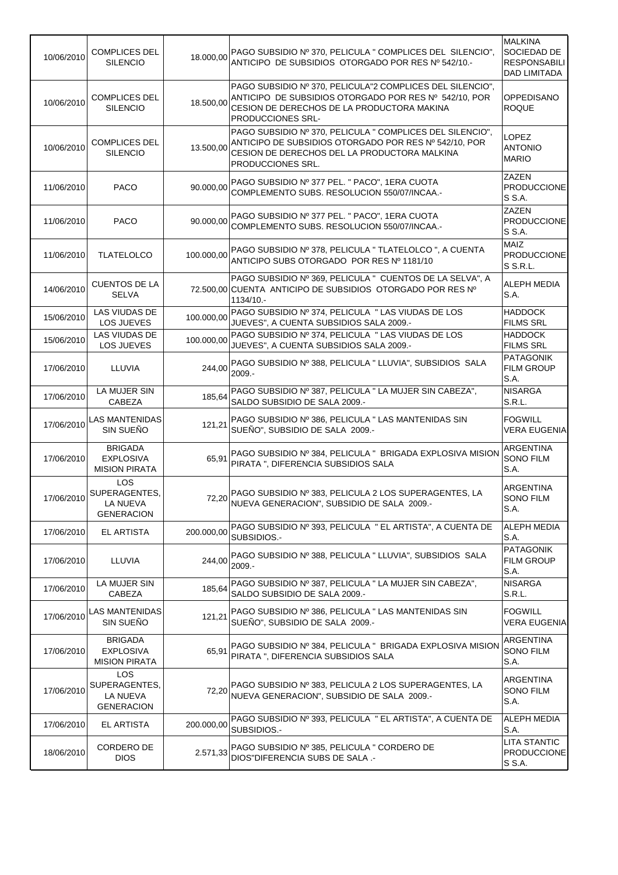| 10/06/2010 | <b>COMPLICES DEL</b><br><b>SILENCIO</b>                             | 18.000,00  | PAGO SUBSIDIO Nº 370, PELICULA " COMPLICES DEL SILENCIO",<br>ANTICIPO DE SUBSIDIOS OTORGADO POR RES Nº 542/10.-                                                                         | <b>MALKINA</b><br>SOCIEDAD DE<br><b>RESPONSABILI</b><br><b>DAD LIMITADA</b> |
|------------|---------------------------------------------------------------------|------------|-----------------------------------------------------------------------------------------------------------------------------------------------------------------------------------------|-----------------------------------------------------------------------------|
| 10/06/2010 | <b>COMPLICES DEL</b><br><b>SILENCIO</b>                             | 18.500,00  | PAGO SUBSIDIO Nº 370, PELICULA"2 COMPLICES DEL SILENCIO",<br>ANTICIPO DE SUBSIDIOS OTORGADO POR RES Nº 542/10, POR<br>CESION DE DERECHOS DE LA PRODUCTORA MAKINA<br>PRODUCCIONES SRL-   | OPPEDISANO<br><b>ROQUE</b>                                                  |
| 10/06/2010 | <b>COMPLICES DEL</b><br><b>SILENCIO</b>                             | 13.500,00  | PAGO SUBSIDIO Nº 370, PELICULA " COMPLICES DEL SILENCIO",<br>ANTICIPO DE SUBSIDIOS OTORGADO POR RES Nº 542/10, POR<br>CESION DE DERECHOS DEL LA PRODUCTORA MALKINA<br>PRODUCCIONES SRL. | LOPEZ<br><b>ANTONIO</b><br><b>MARIO</b>                                     |
| 11/06/2010 | <b>PACO</b>                                                         | 90.000,00  | PAGO SUBSIDIO Nº 377 PEL. " PACO", 1ERA CUOTA<br>COMPLEMENTO SUBS. RESOLUCION 550/07/INCAA.-                                                                                            | ZAZEN<br><b>PRODUCCIONE</b><br>S S.A.                                       |
| 11/06/2010 | PACO                                                                | 90.000,00  | PAGO SUBSIDIO Nº 377 PEL. " PACO", 1ERA CUOTA<br>COMPLEMENTO SUBS. RESOLUCION 550/07/INCAA.-                                                                                            | <b>ZAZEN</b><br><b>PRODUCCIONE</b><br>S S.A.                                |
| 11/06/2010 | <b>TLATELOLCO</b>                                                   | 100.000,00 | PAGO SUBSIDIO Nº 378, PELICULA " TLATELOLCO ", A CUENTA<br>ANTICIPO SUBS OTORGADO POR RES Nº 1181/10                                                                                    | MAIZ<br><b>PRODUCCIONE</b><br>S S.R.L.                                      |
| 14/06/2010 | <b>CUENTOS DE LA</b><br><b>SELVA</b>                                |            | PAGO SUBSIDIO Nº 369, PELICULA " CUENTOS DE LA SELVA", A<br>72.500,00 CUENTA ANTICIPO DE SUBSIDIOS OTORGADO POR RES Nº<br>1134/10.-                                                     | <b>ALEPH MEDIA</b><br>S.A.                                                  |
| 15/06/2010 | LAS VIUDAS DE<br>LOS JUEVES                                         | 100.000,00 | PAGO SUBSIDIO Nº 374, PELICULA " LAS VIUDAS DE LOS<br>JUEVES", A CUENTA SUBSIDIOS SALA 2009.-                                                                                           | <b>HADDOCK</b><br><b>FILMS SRL</b>                                          |
| 15/06/2010 | LAS VIUDAS DE<br>LOS JUEVES                                         | 100.000,00 | PAGO SUBSIDIO Nº 374, PELICULA " LAS VIUDAS DE LOS<br>JUEVES", A CUENTA SUBSIDIOS SALA 2009.-                                                                                           | <b>HADDOCK</b><br><b>FILMS SRL</b>                                          |
| 17/06/2010 | LLUVIA                                                              |            | 244,00 PAGO SUBSIDIO Nº 388, PELICULA " LLUVIA", SUBSIDIOS SALA<br>$2009. -$                                                                                                            | PATAGONIK<br><b>FILM GROUP</b><br>S.A.                                      |
| 17/06/2010 | LA MUJER SIN<br>CABEZA                                              | 185,64     | PAGO SUBSIDIO Nº 387, PELICULA " LA MUJER SIN CABEZA",<br>SALDO SUBSIDIO DE SALA 2009.-                                                                                                 | <b>NISARGA</b><br>S.R.L.                                                    |
| 17/06/2010 | <b>LAS MANTENIDAS</b><br>SIN SUEÑO                                  | 121,21     | PAGO SUBSIDIO Nº 386, PELICULA " LAS MANTENIDAS SIN<br>SUEÑO", SUBSIDIO DE SALA 2009.-                                                                                                  | <b>FOGWILL</b><br><b>VERA EUGENIA</b>                                       |
| 17/06/2010 | <b>BRIGADA</b><br><b>EXPLOSIVA</b><br><b>MISION PIRATA</b>          | 65,91      | PAGO SUBSIDIO Nº 384, PELICULA " BRIGADA EXPLOSIVA MISION<br>PIRATA ", DIFERENCIA SUBSIDIOS SALA                                                                                        | <b>ARGENTINA</b><br>SONO FILM<br>S.A.                                       |
| 17/06/2010 | <b>LOS</b><br>SUPERAGENTES,<br><b>LA NUEVA</b><br><b>GENERACION</b> |            | 72,20 PAGO SUBSIDIO Nº 383, PELICULA 2 LOS SUPERAGENTES, LA<br>NUEVA GENERACION", SUBSIDIO DE SALA 2009.-                                                                               | ARGENTINA<br>SONO FILM<br>S.A.                                              |
| 17/06/2010 | EL ARTISTA                                                          | 200.000,00 | PAGO SUBSIDIO Nº 393, PELICULA " EL ARTISTA", A CUENTA DE<br>SUBSIDIOS.-                                                                                                                | <b>ALEPH MEDIA</b><br>S.A.                                                  |
| 17/06/2010 | LLUVIA                                                              | 244,00     | PAGO SUBSIDIO Nº 388, PELICULA " LLUVIA", SUBSIDIOS SALA<br>$2009. -$                                                                                                                   | <b>PATAGONIK</b><br>FILM GROUP<br>S.A.                                      |
| 17/06/2010 | LA MUJER SIN<br>CABEZA                                              | 185,64     | PAGO SUBSIDIO Nº 387, PELICULA " LA MUJER SIN CABEZA",<br>SALDO SUBSIDIO DE SALA 2009.-                                                                                                 | <b>NISARGA</b><br>S.R.L.                                                    |
| 17/06/2010 | LAS MANTENIDAS <br>SIN SUEÑO                                        | 121,21     | PAGO SUBSIDIO Nº 386, PELICULA " LAS MANTENIDAS SIN<br>SUEÑO", SUBSIDIO DE SALA 2009.-                                                                                                  | <b>FOGWILL</b><br><b>VERA EUGENIA</b>                                       |
| 17/06/2010 | <b>BRIGADA</b><br><b>EXPLOSIVA</b><br><b>MISION PIRATA</b>          | 65,91      | PAGO SUBSIDIO Nº 384, PELICULA " BRIGADA EXPLOSIVA MISION<br>PIRATA ", DIFERENCIA SUBSIDIOS SALA                                                                                        | ARGENTINA<br><b>SONO FILM</b><br>S.A.                                       |
| 17/06/2010 | <b>LOS</b><br>SUPERAGENTES,<br>LA NUEVA<br><b>GENERACION</b>        | 72,20      | PAGO SUBSIDIO Nº 383, PELICULA 2 LOS SUPERAGENTES, LA<br>NUEVA GENERACION", SUBSIDIO DE SALA 2009.-                                                                                     | <b>ARGENTINA</b><br>SONO FILM<br>S.A.                                       |
| 17/06/2010 | EL ARTISTA                                                          | 200.000,00 | PAGO SUBSIDIO Nº 393, PELICULA " EL ARTISTA", A CUENTA DE<br>SUBSIDIOS.-                                                                                                                | ALEPH MEDIA<br>S.A.                                                         |
| 18/06/2010 | CORDERO DE<br><b>DIOS</b>                                           | 2.571,33   | PAGO SUBSIDIO Nº 385, PELICULA " CORDERO DE<br>DIOS"DIFERENCIA SUBS DE SALA .-                                                                                                          | <b>LITA STANTIC</b><br>PRODUCCIONE<br>S S.A.                                |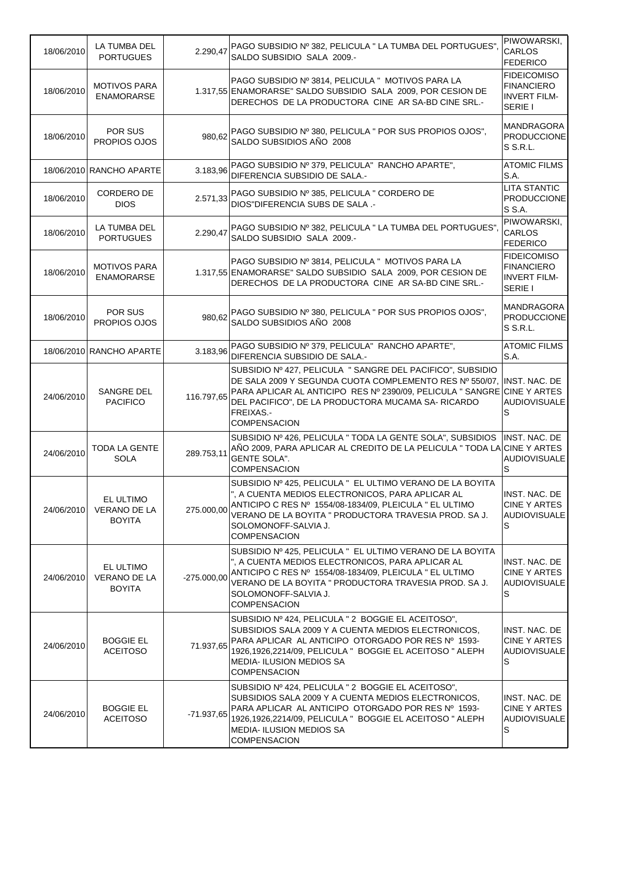| 18/06/2010 | LA TUMBA DEL<br><b>PORTUGUES</b>                  | 2.290,47      | PAGO SUBSIDIO Nº 382, PELICULA " LA TUMBA DEL PORTUGUES",<br>SALDO SUBSIDIO SALA 2009.-                                                                                                                                                                                                   | PIWOWARSKI,<br><b>CARLOS</b><br><b>FEDERICO</b>                           |
|------------|---------------------------------------------------|---------------|-------------------------------------------------------------------------------------------------------------------------------------------------------------------------------------------------------------------------------------------------------------------------------------------|---------------------------------------------------------------------------|
| 18/06/2010 | <b>MOTIVOS PARA</b><br><b>ENAMORARSE</b>          |               | PAGO SUBSIDIO Nº 3814, PELICULA " MOTIVOS PARA LA<br>1.317,55 ENAMORARSE" SALDO SUBSIDIO SALA 2009, POR CESION DE<br>DERECHOS DE LA PRODUCTORA CINE AR SA-BD CINE SRL.-                                                                                                                   | <b>FIDEICOMISO</b><br><b>FINANCIERO</b><br><b>INVERT FILM-</b><br>SERIE I |
| 18/06/2010 | POR SUS<br>PROPIOS OJOS                           | 980,62        | PAGO SUBSIDIO Nº 380, PELICULA " POR SUS PROPIOS OJOS",<br>SALDO SUBSIDIOS AÑO 2008                                                                                                                                                                                                       | <b>MANDRAGORA</b><br><b>PRODUCCIONE</b><br>S S.R.L.                       |
|            | 18/06/2010 RANCHO APARTE                          | 3.183,96      | PAGO SUBSIDIO Nº 379, PELICULA" RANCHO APARTE",<br>DIFERENCIA SUBSIDIO DE SALA.-                                                                                                                                                                                                          | <b>ATOMIC FILMS</b><br>S.A.                                               |
| 18/06/2010 | CORDERO DE<br><b>DIOS</b>                         | 2.571,33      | PAGO SUBSIDIO Nº 385, PELICULA " CORDERO DE<br>DIOS"DIFERENCIA SUBS DE SALA .-                                                                                                                                                                                                            | <b>LITA STANTIC</b><br><b>PRODUCCIONE</b><br>S S.A.                       |
| 18/06/2010 | LA TUMBA DEL<br><b>PORTUGUES</b>                  | 2.290,47      | PAGO SUBSIDIO Nº 382, PELICULA " LA TUMBA DEL PORTUGUES",<br>SALDO SUBSIDIO SALA 2009.-                                                                                                                                                                                                   | PIWOWARSKI,<br><b>CARLOS</b><br><b>FEDERICO</b>                           |
| 18/06/2010 | <b>MOTIVOS PARA</b><br><b>ENAMORARSE</b>          |               | PAGO SUBSIDIO Nº 3814. PELICULA " MOTIVOS PARA LA<br>1.317,55 ENAMORARSE" SALDO SUBSIDIO SALA 2009, POR CESION DE<br>DERECHOS DE LA PRODUCTORA CINE AR SA-BD CINE SRL.-                                                                                                                   | <b>FIDEICOMISO</b><br><b>FINANCIERO</b><br><b>INVERT FILM-</b><br>SERIE I |
| 18/06/2010 | POR SUS<br>PROPIOS OJOS                           | 980.62        | PAGO SUBSIDIO Nº 380, PELICULA " POR SUS PROPIOS OJOS",<br>SALDO SUBSIDIOS AÑO 2008                                                                                                                                                                                                       | <b>MANDRAGORA</b><br><b>PRODUCCIONE</b><br>S S.R.L.                       |
|            | 18/06/2010 RANCHO APARTE                          | 3.183,96      | PAGO SUBSIDIO Nº 379, PELICULA" RANCHO APARTE",<br>DIFERENCIA SUBSIDIO DE SALA.-                                                                                                                                                                                                          | <b>ATOMIC FILMS</b><br>S.A.                                               |
| 24/06/2010 | SANGRE DEL<br><b>PACIFICO</b>                     | 116.797,65    | SUBSIDIO Nº 427, PELICULA " SANGRE DEL PACIFICO", SUBSIDIO<br>DE SALA 2009 Y SEGUNDA CUOTA COMPLEMENTO RES Nº 550/07,<br>PARA APLICAR AL ANTICIPO RES Nº 2390/09, PELICULA " SANGRE CINE Y ARTES<br>DEL PACIFICO", DE LA PRODUCTORA MUCAMA SA-RICARDO<br>FREIXAS.-<br><b>COMPENSACION</b> | INST. NAC. DE<br><b>AUDIOVISUALE</b>                                      |
| 24/06/2010 | <b>TODA LA GENTE</b><br><b>SOLA</b>               | 289.753,11    | SUBSIDIO Nº 426, PELICULA " TODA LA GENTE SOLA", SUBSIDIOS<br>AÑO 2009, PARA APLICAR AL CREDITO DE LA PELICULA " TODA LA CINE Y ARTES<br><b>GENTE SOLA".</b><br><b>COMPENSACION</b>                                                                                                       | INST. NAC. DE<br><b>AUDIOVISUALE</b><br>S                                 |
| 24/06/2010 | EL ULTIMO<br>VERANO DE LA<br><b>BOYITA</b>        | 275.000,00    | SUBSIDIO Nº 425, PELICULA " EL ULTIMO VERANO DE LA BOYITA<br>", A CUENTA MEDIOS ELECTRONICOS, PARA APLICAR AL<br>ANTICIPO C RES Nº 1554/08-1834/09, PLEICULA " EL ULTIMO<br>VERANO DE LA BOYITA " PRODUCTORA TRAVESIA PROD. SA J.<br>SOLOMONOFF-SALVIA J.<br><b>COMPENSACION</b>          | INST. NAC. DE<br>CINE Y ARTES<br><b>AUDIOVISUALE</b><br>S                 |
| 24/06/2010 | EL ULTIMO<br><b>VERANO DE LA</b><br><b>BOYITA</b> | $-275.000.00$ | SUBSIDIO Nº 425, PELICULA " EL ULTIMO VERANO DE LA BOYITA<br>", A CUENTA MEDIOS ELECTRONICOS, PARA APLICAR AL<br>ANTICIPO C RES Nº 1554/08-1834/09, PLEICULA " EL ULTIMO<br>VERANO DE LA BOYITA " PRODUCTORA TRAVESIA PROD. SA J.<br>SOLOMONOFF-SALVIA J.<br><b>COMPENSACION</b>          | INST. NAC. DE<br>CINE Y ARTES<br><b>AUDIOVISUALE</b><br>S                 |
| 24/06/2010 | <b>BOGGIE EL</b><br><b>ACEITOSO</b>               | 71.937,65     | SUBSIDIO Nº 424, PELICULA " 2 BOGGIE EL ACEITOSO",<br>SUBSIDIOS SALA 2009 Y A CUENTA MEDIOS ELECTRONICOS,<br>PARA APLICAR AL ANTICIPO OTORGADO POR RES Nº 1593-<br>1926,1926,2214/09, PELICULA " BOGGIE EL ACEITOSO " ALEPH<br><b>MEDIA- ILUSION MEDIOS SA</b><br><b>COMPENSACION</b>     | INST. NAC. DE<br>CINE Y ARTES<br><b>AUDIOVISUALE</b><br>S                 |
| 24/06/2010 | <b>BOGGIE EL</b><br><b>ACEITOSO</b>               | $-71.937.65$  | SUBSIDIO Nº 424, PELICULA " 2 BOGGIE EL ACEITOSO",<br>SUBSIDIOS SALA 2009 Y A CUENTA MEDIOS ELECTRONICOS,<br>PARA APLICAR AL ANTICIPO OTORGADO POR RES Nº 1593-<br>1926,1926,2214/09, PELICULA " BOGGIE EL ACEITOSO " ALEPH<br><b>MEDIA- ILUSION MEDIOS SA</b><br><b>COMPENSACION</b>     | INST. NAC. DE<br>CINE Y ARTES<br><b>AUDIOVISUALE</b><br>S                 |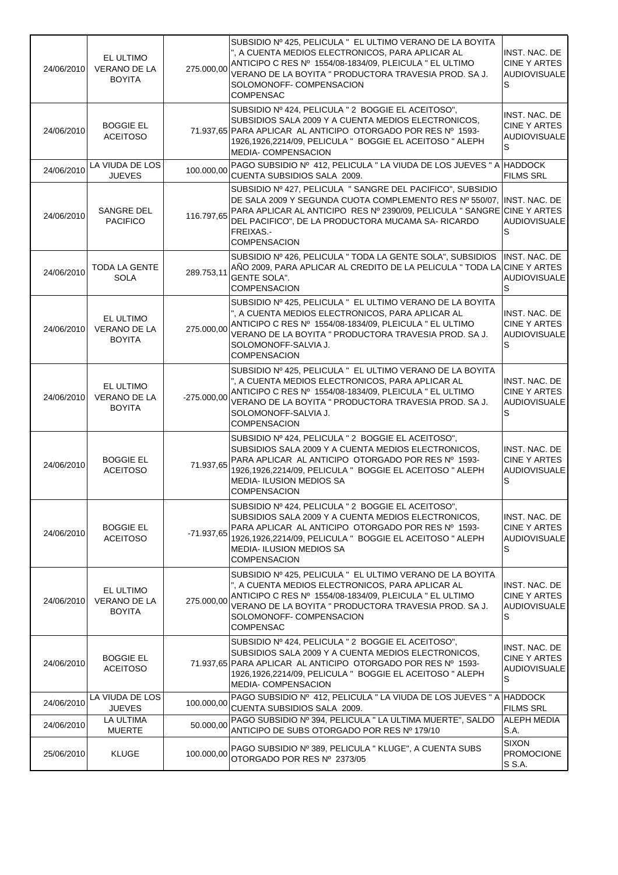| 24/06/2010 | EL ULTIMO<br>VERANO DE LA<br><b>BOYITA</b>        | 275.000,00    | SUBSIDIO Nº 425, PELICULA " EL ULTIMO VERANO DE LA BOYITA<br>", A CUENTA MEDIOS ELECTRONICOS, PARA APLICAR AL<br>ANTICIPO C RES Nº 1554/08-1834/09, PLEICULA " EL ULTIMO<br>VERANO DE LA BOYITA " PRODUCTORA TRAVESIA PROD. SA J.<br>SOLOMONOFF- COMPENSACION<br><b>COMPENSAC</b>         | INST. NAC. DE<br>CINE Y ARTES<br><b>AUDIOVISUALE</b><br>S        |
|------------|---------------------------------------------------|---------------|-------------------------------------------------------------------------------------------------------------------------------------------------------------------------------------------------------------------------------------------------------------------------------------------|------------------------------------------------------------------|
| 24/06/2010 | <b>BOGGIE EL</b><br><b>ACEITOSO</b>               |               | SUBSIDIO Nº 424, PELICULA " 2 BOGGIE EL ACEITOSO",<br>SUBSIDIOS SALA 2009 Y A CUENTA MEDIOS ELECTRONICOS,<br>71.937,65 PARA APLICAR AL ANTICIPO OTORGADO POR RES Nº 1593-<br>1926,1926,2214/09, PELICULA " BOGGIE EL ACEITOSO " ALEPH<br><b>MEDIA- COMPENSACION</b>                       | INST. NAC. DE<br>CINE Y ARTES<br><b>AUDIOVISUALE</b><br>S        |
| 24/06/2010 | LA VIUDA DE LOS<br><b>JUEVES</b>                  | 100.000,00    | PAGO SUBSIDIO Nº 412, PELICULA " LA VIUDA DE LOS JUEVES " A HADDOCK<br>CUENTA SUBSIDIOS SALA 2009.                                                                                                                                                                                        | <b>FILMS SRL</b>                                                 |
| 24/06/2010 | SANGRE DEL<br><b>PACIFICO</b>                     | 116.797,65    | SUBSIDIO Nº 427, PELICULA " SANGRE DEL PACIFICO", SUBSIDIO<br>DE SALA 2009 Y SEGUNDA CUOTA COMPLEMENTO RES Nº 550/07,<br>PARA APLICAR AL ANTICIPO RES Nº 2390/09, PELICULA " SANGRE CINE Y ARTES<br>DEL PACIFICO", DE LA PRODUCTORA MUCAMA SA-RICARDO<br>FREIXAS.-<br><b>COMPENSACION</b> | INST. NAC. DE<br><b>AUDIOVISUALE</b><br>S                        |
| 24/06/2010 | TODA LA GENTE<br><b>SOLA</b>                      | 289.753,11    | SUBSIDIO Nº 426, PELICULA " TODA LA GENTE SOLA", SUBSIDIOS<br>AÑO 2009, PARA APLICAR AL CREDITO DE LA PELICULA " TODA LA CINE Y ARTES<br><b>GENTE SOLA".</b><br><b>COMPENSACION</b>                                                                                                       | INST. NAC. DE<br><b>AUDIOVISUALE</b><br>S                        |
| 24/06/2010 | EL ULTIMO<br><b>VERANO DE LA</b><br><b>BOYITA</b> | 275.000,00    | SUBSIDIO Nº 425, PELICULA " EL ULTIMO VERANO DE LA BOYITA<br>", A CUENTA MEDIOS ELECTRONICOS, PARA APLICAR AL<br>ANTICIPO C RES Nº 1554/08-1834/09, PLEICULA " EL ULTIMO<br>VERANO DE LA BOYITA " PRODUCTORA TRAVESIA PROD. SA J.<br>SOLOMONOFF-SALVIA J.<br><b>COMPENSACION</b>          | INST. NAC. DE<br>CINE Y ARTES<br><b>AUDIOVISUALE</b><br>S        |
| 24/06/2010 | EL ULTIMO<br><b>VERANO DE LA</b><br><b>BOYITA</b> | $-275.000,00$ | SUBSIDIO Nº 425, PELICULA " EL ULTIMO VERANO DE LA BOYITA<br>", A CUENTA MEDIOS ELECTRONICOS, PARA APLICAR AL<br>ANTICIPO C RES Nº 1554/08-1834/09, PLEICULA " EL ULTIMO<br>VERANO DE LA BOYITA " PRODUCTORA TRAVESIA PROD. SA J.<br>SOLOMONOFF-SALVIA J.<br><b>COMPENSACION</b>          | INST. NAC. DE<br>CINE Y ARTES<br><b>AUDIOVISUALE</b><br>S        |
| 24/06/2010 | <b>BOGGIE EL</b><br><b>ACEITOSO</b>               | 71.937,65     | SUBSIDIO Nº 424, PELICULA " 2 BOGGIE EL ACEITOSO",<br>SUBSIDIOS SALA 2009 Y A CUENTA MEDIOS ELECTRONICOS,<br>PARA APLICAR AL ANTICIPO OTORGADO POR RES Nº 1593-<br>1926,1926,2214/09, PELICULA " BOGGIE EL ACEITOSO " ALEPH<br><b>MEDIA- ILUSION MEDIOS SA</b><br><b>COMPENSACION</b>     | INST. NAC. DE<br><b>CINE Y ARTES</b><br><b>AUDIOVISUALE</b><br>S |
| 24/06/2010 | <b>BOGGIE EL</b><br><b>ACEITOSO</b>               | $-71.937.65$  | SUBSIDIO Nº 424, PELICULA " 2 BOGGIE EL ACEITOSO",<br>SUBSIDIOS SALA 2009 Y A CUENTA MEDIOS ELECTRONICOS,<br>PARA APLICAR AL ANTICIPO OTORGADO POR RES Nº 1593-<br>1926,1926,2214/09, PELICULA " BOGGIE EL ACEITOSO " ALEPH<br><b>MEDIA- ILUSION MEDIOS SA</b><br><b>COMPENSACION</b>     | INST. NAC. DE<br>CINE Y ARTES<br><b>AUDIOVISUALE</b><br>S        |
| 24/06/2010 | EL ULTIMO<br>VERANO DE LA<br><b>BOYITA</b>        | 275.000,00    | SUBSIDIO Nº 425, PELICULA " EL ULTIMO VERANO DE LA BOYITA<br>", A CUENTA MEDIOS ELECTRONICOS, PARA APLICAR AL<br>ANTICIPO C RES Nº 1554/08-1834/09, PLEICULA " EL ULTIMO<br>VERANO DE LA BOYITA " PRODUCTORA TRAVESIA PROD. SA J.<br>SOLOMONOFF- COMPENSACION<br><b>COMPENSAC</b>         | INST. NAC. DE<br>CINE Y ARTES<br><b>AUDIOVISUALE</b><br>S        |
| 24/06/2010 | <b>BOGGIE EL</b><br><b>ACEITOSO</b>               |               | SUBSIDIO Nº 424, PELICULA " 2 BOGGIE EL ACEITOSO",<br>SUBSIDIOS SALA 2009 Y A CUENTA MEDIOS ELECTRONICOS,<br>71.937,65 PARA APLICAR AL ANTICIPO OTORGADO POR RES Nº 1593-<br>1926,1926,2214/09, PELICULA " BOGGIE EL ACEITOSO " ALEPH<br>MEDIA- COMPENSACION                              | INST. NAC. DE<br>CINE Y ARTES<br>AUDIOVISUALE<br>S               |
| 24/06/2010 | LA VIUDA DE LOS<br><b>JUEVES</b>                  | 100.000,00    | PAGO SUBSIDIO Nº 412, PELICULA " LA VIUDA DE LOS JUEVES " A HADDOCK<br>CUENTA SUBSIDIOS SALA 2009.                                                                                                                                                                                        | <b>FILMS SRL</b>                                                 |
| 24/06/2010 | LA ULTIMA<br><b>MUERTE</b>                        | 50.000,00     | PAGO SUBSIDIO Nº 394, PELICULA " LA ULTIMA MUERTE", SALDO<br>ANTICIPO DE SUBS OTORGADO POR RES Nº 179/10                                                                                                                                                                                  | <b>ALEPH MEDIA</b><br>S.A.                                       |
| 25/06/2010 | <b>KLUGE</b>                                      | 100.000,00    | PAGO SUBSIDIO Nº 389, PELICULA " KLUGE", A CUENTA SUBS<br>OTORGADO POR RES Nº 2373/05                                                                                                                                                                                                     | <b>SIXON</b><br><b>PROMOCIONE</b><br>S S.A.                      |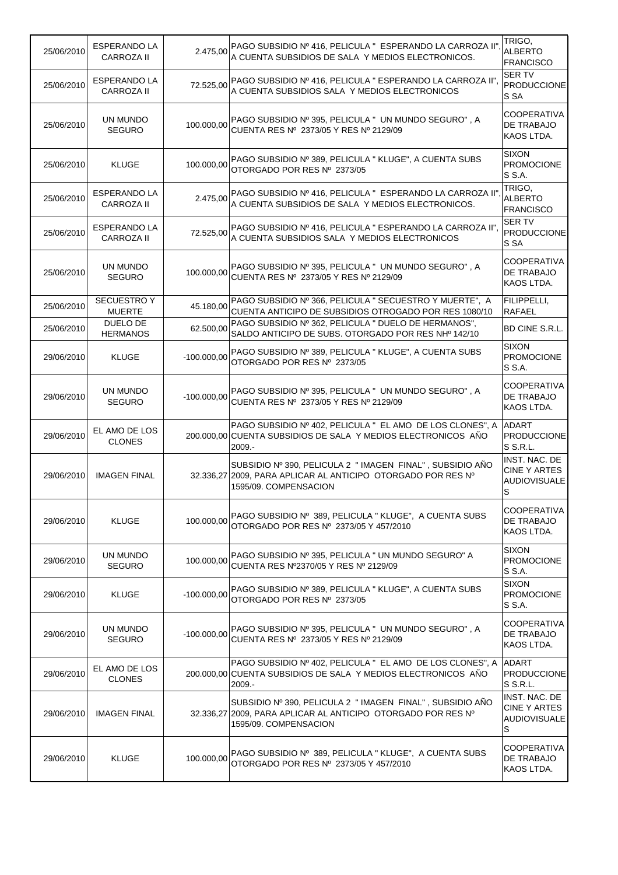| 25/06/2010 | <b>ESPERANDO LA</b><br><b>CARROZA II</b> | 2.475,00      | PAGO SUBSIDIO Nº 416, PELICULA " ESPERANDO LA CARROZA II"<br>A CUENTA SUBSIDIOS DE SALA Y MEDIOS ELECTRONICOS.                                     | TRIGO.<br><b>ALBERTO</b><br><b>FRANCISCO</b>                        |
|------------|------------------------------------------|---------------|----------------------------------------------------------------------------------------------------------------------------------------------------|---------------------------------------------------------------------|
| 25/06/2010 | <b>ESPERANDO LA</b><br><b>CARROZA II</b> | 72.525,00     | PAGO SUBSIDIO Nº 416, PELICULA " ESPERANDO LA CARROZA II",<br>A CUENTA SUBSIDIOS SALA Y MEDIOS ELECTRONICOS                                        | <b>SER TV</b><br><b>PRODUCCIONE</b><br>S SA                         |
| 25/06/2010 | UN MUNDO<br><b>SEGURO</b>                | 100.000,00    | PAGO SUBSIDIO Nº 395, PELICULA " UN MUNDO SEGURO", A<br>CUENTA RES Nº 2373/05 Y RES Nº 2129/09                                                     | <b>COOPERATIVA</b><br>DE TRABAJO<br>KAOS LTDA.                      |
| 25/06/2010 | <b>KLUGE</b>                             | 100.000,00    | PAGO SUBSIDIO Nº 389, PELICULA " KLUGE", A CUENTA SUBS<br>OTORGADO POR RES Nº 2373/05                                                              | <b>SIXON</b><br><b>PROMOCIONE</b><br>S S.A.                         |
| 25/06/2010 | ESPERANDO LA<br><b>CARROZA II</b>        | 2.475,00      | PAGO SUBSIDIO Nº 416, PELICULA " ESPERANDO LA CARROZA II"<br>A CUENTA SUBSIDIOS DE SALA Y MEDIOS ELECTRONICOS.                                     | TRIGO.<br><b>ALBERTO</b><br><b>FRANCISCO</b>                        |
| 25/06/2010 | ESPERANDO LA<br><b>CARROZA II</b>        | 72.525,00     | PAGO SUBSIDIO Nº 416, PELICULA " ESPERANDO LA CARROZA II",<br>A CUENTA SUBSIDIOS SALA Y MEDIOS ELECTRONICOS                                        | <b>SER TV</b><br>PRODUCCIONE<br>S SA                                |
| 25/06/2010 | UN MUNDO<br><b>SEGURO</b>                | 100.000,00    | PAGO SUBSIDIO Nº 395, PELICULA "UN MUNDO SEGURO", A<br>CUENTA RES Nº 2373/05 Y RES Nº 2129/09                                                      | <b>COOPERATIVA</b><br>DE TRABAJO<br>KAOS LTDA.                      |
| 25/06/2010 | <b>SECUESTROY</b><br><b>MUERTE</b>       | 45.180,00     | PAGO SUBSIDIO Nº 366, PELICULA " SECUESTRO Y MUERTE", A<br>CUENTA ANTICIPO DE SUBSIDIOS OTROGADO POR RES 1080/10                                   | FILIPPELLI,<br><b>RAFAEL</b>                                        |
| 25/06/2010 | DUELO DE<br><b>HERMANOS</b>              | 62.500,00     | PAGO SUBSIDIO Nº 362, PELICULA " DUELO DE HERMANOS",<br>SALDO ANTICIPO DE SUBS. OTORGADO POR RES NHº 142/10                                        | BD CINE S.R.L.                                                      |
| 29/06/2010 | <b>KLUGE</b>                             | $-100.000,00$ | PAGO SUBSIDIO Nº 389, PELICULA " KLUGE", A CUENTA SUBS<br>OTORGADO POR RES Nº 2373/05                                                              | <b>SIXON</b><br><b>PROMOCIONE</b><br>S S.A.                         |
| 29/06/2010 | UN MUNDO<br><b>SEGURO</b>                | $-100.000,00$ | PAGO SUBSIDIO Nº 395, PELICULA " UN MUNDO SEGURO", A<br>CUENTA RES Nº 2373/05 Y RES Nº 2129/09                                                     | <b>COOPERATIVA</b><br>DE TRABAJO<br>KAOS LTDA.                      |
| 29/06/2010 | EL AMO DE LOS<br><b>CLONES</b>           |               | PAGO SUBSIDIO Nº 402, PELICULA " EL AMO DE LOS CLONES", A<br>200.000,00 CUENTA SUBSIDIOS DE SALA Y MEDIOS ELECTRONICOS AÑO<br>$2009. -$            | <b>ADART</b><br><b>PRODUCCIONE</b><br>S S.R.L.                      |
| 29/06/2010 | <b>IMAGEN FINAL</b>                      |               | SUBSIDIO Nº 390, PELICULA 2 " IMAGEN FINAL", SUBSIDIO AÑO<br>32.336,27 2009, PARA APLICAR AL ANTICIPO OTORGADO POR RES Nº<br>1595/09. COMPENSACION | INST. NAC. DE<br>CINE Y ARTES<br><b>AUDIOVISUALE</b><br>S           |
| 29/06/2010 | <b>KLUGE</b>                             | 100.000,00    | PAGO SUBSIDIO Nº 389, PELICULA " KLUGE", A CUENTA SUBS<br>OTORGADO POR RES Nº 2373/05 Y 457/2010                                                   | <b>COOPERATIVA</b><br>DE TRABAJO<br>KAOS LTDA.                      |
| 29/06/2010 | UN MUNDO<br><b>SEGURO</b>                | 100.000,00    | PAGO SUBSIDIO Nº 395, PELICULA " UN MUNDO SEGURO" A<br>CUENTA RES Nº2370/05 Y RES Nº 2129/09                                                       | <b>SIXON</b><br><b>PROMOCIONE</b><br>S S.A.                         |
| 29/06/2010 | <b>KLUGE</b>                             | $-100.000.00$ | PAGO SUBSIDIO Nº 389, PELICULA " KLUGE", A CUENTA SUBS<br>OTORGADO POR RES Nº 2373/05                                                              | <b>SIXON</b><br><b>PROMOCIONE</b><br>S S.A.                         |
| 29/06/2010 | UN MUNDO<br><b>SEGURO</b>                | $-100.000,00$ | PAGO SUBSIDIO Nº 395, PELICULA " UN MUNDO SEGURO", A<br>CUENTA RES Nº 2373/05 Y RES Nº 2129/09                                                     | COOPERATIVA<br>DE TRABAJO<br>KAOS LTDA.                             |
| 29/06/2010 | EL AMO DE LOS<br><b>CLONES</b>           |               | PAGO SUBSIDIO Nº 402, PELICULA " EL AMO DE LOS CLONES", A<br>200.000.00 CUENTA SUBSIDIOS DE SALA Y MEDIOS ELECTRONICOS AÑO<br>2009.-               | <b>ADART</b><br>PRODUCCIONE<br>S S.R.L.                             |
| 29/06/2010 | IMAGEN FINAL                             |               | SUBSIDIO Nº 390, PELICULA 2 " IMAGEN FINAL", SUBSIDIO AÑO<br>32.336,27 2009, PARA APLICAR AL ANTICIPO OTORGADO POR RES Nº<br>1595/09. COMPENSACION | INST. NAC. DE<br>CINE Y ARTES<br><b>AUDIOVISUALE</b><br>$\mathbb S$ |
| 29/06/2010 | <b>KLUGE</b>                             | 100.000,00    | PAGO SUBSIDIO Nº 389, PELICULA " KLUGE", A CUENTA SUBS<br>OTORGADO POR RES Nº 2373/05 Y 457/2010                                                   | <b>COOPERATIVA</b><br>DE TRABAJO<br>KAOS LTDA.                      |